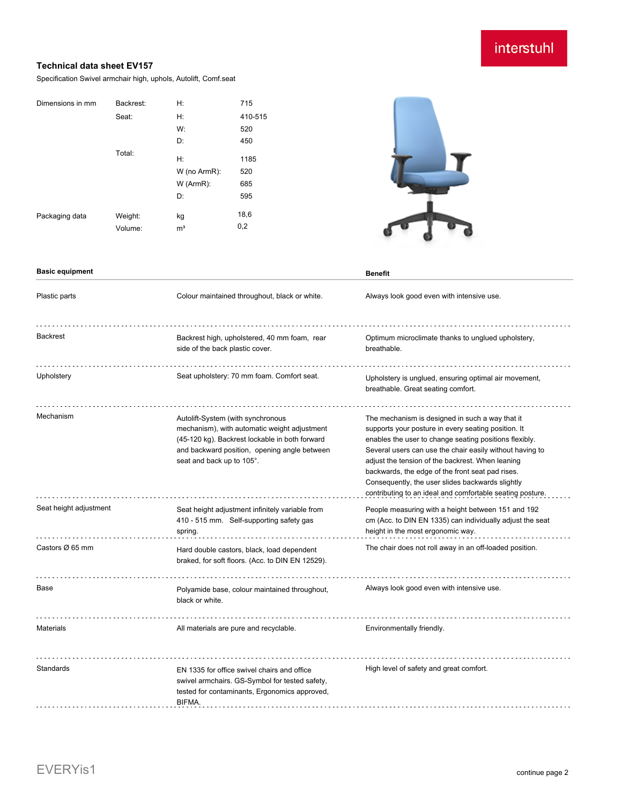# interstuhl

#### **Technical data sheet EV157**

Specification Swivel armchair high, uphols, Autolift, Comf.seat

| Backrest: | H:             | 715                      |
|-----------|----------------|--------------------------|
| Seat:     | H:             | 410-515                  |
|           | W:             | 520                      |
|           | D:             | 450                      |
| Total:    |                | 1185                     |
|           |                |                          |
|           |                | 520                      |
|           | $W$ (ArmR):    | 685                      |
|           | D:             | 595                      |
|           |                | 18,6                     |
| Volume:   | m <sup>3</sup> | 0,2                      |
|           | Weight:        | H:<br>W (no ArmR):<br>kg |



| <b>Basic equipment</b> |                                                                                                                                                                                                                  | <b>Benefit</b>                                                                                                                                                                                                                                                                                                                                                                                                                                        |
|------------------------|------------------------------------------------------------------------------------------------------------------------------------------------------------------------------------------------------------------|-------------------------------------------------------------------------------------------------------------------------------------------------------------------------------------------------------------------------------------------------------------------------------------------------------------------------------------------------------------------------------------------------------------------------------------------------------|
| Plastic parts          | Colour maintained throughout, black or white.                                                                                                                                                                    | Always look good even with intensive use.                                                                                                                                                                                                                                                                                                                                                                                                             |
| Backrest               | Backrest high, upholstered, 40 mm foam, rear<br>side of the back plastic cover.                                                                                                                                  | Optimum microclimate thanks to unglued upholstery,<br>breathable.                                                                                                                                                                                                                                                                                                                                                                                     |
| Upholstery             | Seat upholstery: 70 mm foam. Comfort seat.                                                                                                                                                                       | Upholstery is unglued, ensuring optimal air movement,<br>breathable. Great seating comfort.                                                                                                                                                                                                                                                                                                                                                           |
| Mechanism              | Autolift-System (with synchronous<br>mechanism), with automatic weight adjustment<br>(45-120 kg). Backrest lockable in both forward<br>and backward position, opening angle between<br>seat and back up to 105°. | The mechanism is designed in such a way that it<br>supports your posture in every seating position. It<br>enables the user to change seating positions flexibly.<br>Several users can use the chair easily without having to<br>adjust the tension of the backrest. When leaning<br>backwards, the edge of the front seat pad rises.<br>Consequently, the user slides backwards slightly<br>contributing to an ideal and comfortable seating posture. |
| Seat height adjustment | Seat height adjustment infinitely variable from<br>410 - 515 mm. Self-supporting safety gas<br>spring.                                                                                                           | People measuring with a height between 151 and 192<br>cm (Acc. to DIN EN 1335) can individually adjust the seat<br>height in the most ergonomic way.                                                                                                                                                                                                                                                                                                  |
| Castors Ø 65 mm        | Hard double castors, black, load dependent<br>braked, for soft floors. (Acc. to DIN EN 12529).                                                                                                                   | The chair does not roll away in an off-loaded position.                                                                                                                                                                                                                                                                                                                                                                                               |
| Base                   | Polyamide base, colour maintained throughout,<br>black or white.                                                                                                                                                 | Always look good even with intensive use.                                                                                                                                                                                                                                                                                                                                                                                                             |
| <b>Materials</b>       | All materials are pure and recyclable.                                                                                                                                                                           | Environmentally friendly.                                                                                                                                                                                                                                                                                                                                                                                                                             |
| Standards              | EN 1335 for office swivel chairs and office<br>swivel armchairs. GS-Symbol for tested safety,<br>tested for contaminants, Ergonomics approved,<br>BIFMA.                                                         | High level of safety and great comfort.                                                                                                                                                                                                                                                                                                                                                                                                               |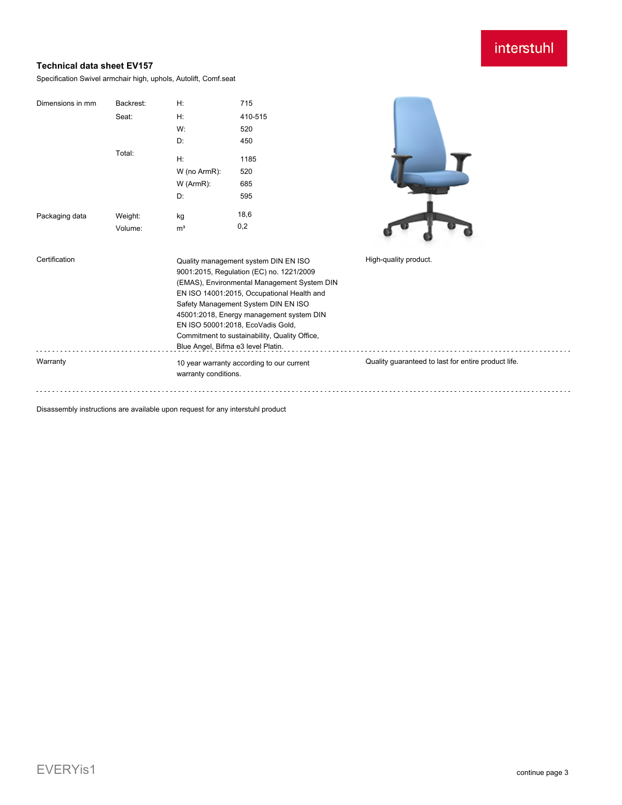## interstuhl

### **Technical data sheet EV157**

Specification Swivel armchair high, uphols, Autolift, Comf.seat

| Dimensions in mm | Backrest:<br>Seat:<br>Total:                                      | H:<br>H:<br>W:<br>D:<br>H:<br>W (no ArmR):<br>W (ArmR):<br>D:                                                                                                                                                                                                                                                                                                                                | 715<br>410-515<br>520<br>450<br>1185<br>520<br>685<br>595 |                       |
|------------------|-------------------------------------------------------------------|----------------------------------------------------------------------------------------------------------------------------------------------------------------------------------------------------------------------------------------------------------------------------------------------------------------------------------------------------------------------------------------------|-----------------------------------------------------------|-----------------------|
| Packaging data   | Weight:<br>Volume:                                                | kg<br>m <sup>3</sup>                                                                                                                                                                                                                                                                                                                                                                         | 18,6<br>0,2                                               |                       |
| Certification    |                                                                   | Quality management system DIN EN ISO<br>9001:2015, Regulation (EC) no. 1221/2009<br>(EMAS), Environmental Management System DIN<br>EN ISO 14001:2015, Occupational Health and<br>Safety Management System DIN EN ISO<br>45001:2018, Energy management system DIN<br>EN ISO 50001:2018, EcoVadis Gold,<br>Commitment to sustainability, Quality Office,<br>Blue Angel, Bifma e3 level Platin. |                                                           | High-quality product. |
| Warranty         | 10 year warranty according to our current<br>warranty conditions. |                                                                                                                                                                                                                                                                                                                                                                                              | Quality guaranteed to last for entire product life.       |                       |

Disassembly instructions are available upon request for any interstuhl product